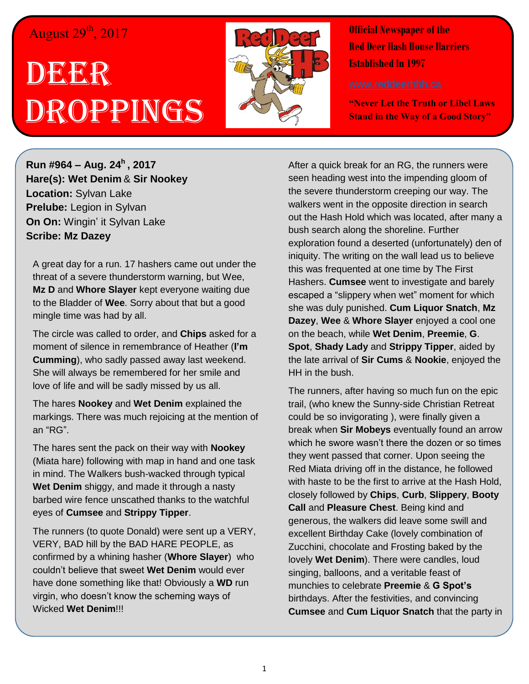## August 29<sup>th</sup>, 2017

## DEERR Droppings



**Official Newspaper of the Red Deer Hash House Harriers Established In 1997** 

**"Never Let the Truth or Libel Laws Stand in the Way of a Good Story"**

**Run #964 – Aug. 24<sup>h</sup> , 2017 Hare(s): Wet Denim** & **Sir Nookey Location:** Sylvan Lake **Prelube:** Legion in Sylvan **On On:** Wingin' it Sylvan Lake **Scribe: Mz Dazey**

A great day for a run. 17 hashers came out under the threat of a severe thunderstorm warning, but Wee, **Mz D** and **Whore Slayer** kept everyone waiting due to the Bladder of **Wee**. Sorry about that but a good mingle time was had by all.

The circle was called to order, and **Chips** asked for a moment of silence in remembrance of Heather (**I'm Cumming**), who sadly passed away last weekend. She will always be remembered for her smile and love of life and will be sadly missed by us all.

The hares **Nookey** and **Wet Denim** explained the markings. There was much rejoicing at the mention of an "RG".

The hares sent the pack on their way with **Nookey** (Miata hare) following with map in hand and one task in mind. The Walkers bush-wacked through typical **Wet Denim** shiggy, and made it through a nasty barbed wire fence unscathed thanks to the watchful eyes of **Cumsee** and **Strippy Tipper**.

The runners (to quote Donald) were sent up a VERY, VERY, BAD hill by the BAD HARE PEOPLE, as confirmed by a whining hasher (**Whore Slayer**) who couldn't believe that sweet **Wet Denim** would ever have done something like that! Obviously a **WD** run virgin, who doesn't know the scheming ways of Wicked **Wet Denim**!!!

After a quick break for an RG, the runners were seen heading west into the impending gloom of the severe thunderstorm creeping our way. The walkers went in the opposite direction in search out the Hash Hold which was located, after many a bush search along the shoreline. Further exploration found a deserted (unfortunately) den of iniquity. The writing on the wall lead us to believe this was frequented at one time by The First Hashers. **Cumsee** went to investigate and barely escaped a "slippery when wet" moment for which she was duly punished. **Cum Liquor Snatch**, **Mz Dazey**, **Wee** & **Whore Slayer** enjoyed a cool one on the beach, while **Wet Denim**, **Preemie**, **G**. **Spot**, **Shady Lady** and **Strippy Tipper**, aided by the late arrival of **Sir Cums** & **Nookie**, enjoyed the HH in the bush.

The runners, after having so much fun on the epic trail, (who knew the Sunny-side Christian Retreat could be so invigorating ), were finally given a break when **Sir Mobeys** eventually found an arrow which he swore wasn't there the dozen or so times they went passed that corner. Upon seeing the Red Miata driving off in the distance, he followed with haste to be the first to arrive at the Hash Hold, closely followed by **Chips**, **Curb**, **Slippery**, **Booty Call** and **Pleasure Chest**. Being kind and generous, the walkers did leave some swill and excellent Birthday Cake (lovely combination of Zucchini, chocolate and Frosting baked by the lovely **Wet Denim**). There were candles, loud singing, balloons, and a veritable feast of munchies to celebrate **Preemie** & **G Spot's** birthdays. After the festivities, and convincing **Cumsee** and **Cum Liquor Snatch** that the party in